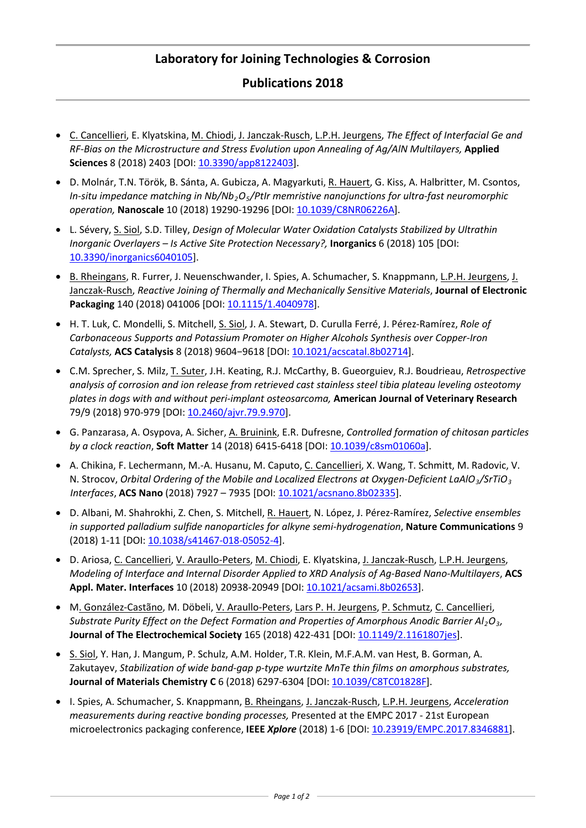## **Laboratory for Joining Technologies & Corrosion**

## **Publications 2018**

- C. Cancellieri, E. Klyatskina, M. Chiodi, J. Janczak-Rusch, L.P.H. Jeurgens, *The Effect of Interfacial Ge and RF-Bias on the Microstructure and Stress Evolution upon Annealing of Ag/AlN Multilayers,* **Applied Sciences** 8 (2018) 2403 [DOI: [10.3390/app8122403\]](http://dx.doi.org/10.3390/app8122403).
- [D. Molnár,](https://pubs.rsc.org/en/results?searchtext=Author%3AD%C3%A1niel%20Moln%C3%A1r) [T.N. Török,](https://pubs.rsc.org/en/results?searchtext=Author%3AT%C3%ADmea%20N%C3%B3ra%20T%C3%B6r%C3%B6k) [B. Sánta,](https://pubs.rsc.org/en/results?searchtext=Author%3ABotond%20S%C3%A1nta) [A. Gubicza,](https://pubs.rsc.org/en/results?searchtext=Author%3AAgnes%20Gubicza) [A. Magyarkuti,](https://pubs.rsc.org/en/results?searchtext=Author%3AAndr%C3%A1s%20Magyarkuti) [R. Hauert,](https://pubs.rsc.org/en/results?searchtext=Author%3ARoland%20Hauert) [G. Kiss,](https://pubs.rsc.org/en/results?searchtext=Author%3AG%C3%A1bor%20Kiss) [A. Halbritter,](https://pubs.rsc.org/en/results?searchtext=Author%3AAndras%20Halbritter) [M. Csontos,](https://pubs.rsc.org/en/results?searchtext=Author%3AMiklos%20Csontos) *In-situ impedance matching in Nb/Nb2O5/PtIr memristive nanojunctions for ultra-fast neuromorphic operation,* **Nanoscale** 10 (2018) 19290-19296 [DOI: [10.1039/C8NR06226A\]](http://dx.doi.org/10.1039/C8NR06226A).
- L. Sévery, S. Siol, S.D. Tilley, *Design of Molecular Water Oxidation Catalysts Stabilized by Ultrathin Inorganic Overlayers – Is Active Site Protection Necessary?,* **Inorganics** 6 (2018) 105 [DOI: [10.3390/inorganics6040105\]](http://dx.doi.org/10.3390/inorganics6040105).
- B. Rheingans, R. Furrer, J. Neuenschwander, I. Spies, A. Schumacher, S. Knappmann, L.P.H. Jeurgens, J. Janczak-Rusch, *Reactive Joining of Thermally and Mechanically Sensitive Materials*, **Journal of Electronic**  Packaging 140 (2018) 041006 [DOI: [10.1115/1.4040978\]](http://dx.doi.org/10.1115/1.4040978).
- H. T. Luk, C. Mondelli, S. Mitchell, S. Siol, J. A. Stewart, D. Curulla Ferré, J. Pérez-Ramírez, *Role of Carbonaceous Supports and Potassium Promoter on Higher Alcohols Synthesis over Copper-Iron Catalysts,* **ACS Catalysis** 8 (2018) 9604−9618 [DOI: [10.1021/acscatal.8b02714\]](http://dx.doi.org/10.1021/acscatal.8b02714).
- C.M. Sprecher, S. Milz, T. Suter, J.H. Keating, R.J. McCarthy, B. Gueorguiev, R.J. Boudrieau, *Retrospective analysis of corrosion and ion release from retrieved cast stainless steel tibia plateau leveling osteotomy plates in dogs with and without peri-implant osteosarcoma,* **American Journal of Veterinary Research**  79/9 (2018) 970-979 [DOI[: 10.2460/ajvr.79.9.970\]](http://dx.doi.org/10.2460/ajvr.79.9.970).
- G. Panzarasa, A. Osypova, A. Sicher, A. Bruinink, E.R. Dufresne, *Controlled formation of chitosan particles by a clock reaction*, **Soft Matter** 14 (2018) 6415-6418 [DOI[: 10.1039/c8sm01060a\]](http://dx.doi.org/10.1039/c8sm01060a).
- A. Chikina, F. Lechermann, M.-A. Husanu, M. Caputo, C. Cancellieri, X. Wang, T. Schmitt, M. Radovic, V. N. Strocov, *Orbital Ordering of the Mobile and Localized Electrons at Oxygen-Deficient LaAlO<sub>3</sub>/SrTiO<sub>3</sub> Interfaces*, **ACS Nano** (2018) 7927 – 7935 [DOI: [10.1021/acsnano.8b02335\]](http://dx.doi.org/10.1021/acsnano.8b02335).
- D. Albani, M. Shahrokhi, Z. Chen, S. Mitchell, R. Hauert, N. López, J. Pérez-Ramírez, *Selective ensembles in supported palladium sulfide nanoparticles for alkyne semi-hydrogenation*, **Nature Communications** 9 (2018) 1-11 [DOI[: 10.1038/s41467-018-05052-4\]](http://dx.doi.org/10.1038/s41467-018-05052-4).
- D. Ariosa, C. Cancellieri, V. Araullo-Peters, M. Chiodi, E. Klyatskina, J. Janczak-Rusch, L.P.H. Jeurgens, *Modeling of Interface and Internal Disorder Applied to XRD Analysis of Ag-Based Nano-Multilayers*, **ACS Appl. Mater. Interfaces** 10 (2018) 20938-20949 [DOI[: 10.1021/acsami.8b02653\]](http://dx.doi.org/10.1021/acsami.8b02653).
- M. González-Castãno, M. Döbeli, V. Araullo-Peters, Lars P. H. Jeurgens, P. Schmutz, C. Cancellieri, *Substrate Purity Effect on the Defect Formation and Properties of Amorphous Anodic Barrier Al2O3,*  **Journal of The Electrochemical Society** 165 (2018) 422-431 [DOI: [10.1149/2.1161807jes\]](http://dx.doi.org/10.1149/2.1161807jes).
- S. Siol, Y. Han, J. Mangum, P. Schulz, A.M. Holder, T.R. Klein, M.F.A.M. van Hest, B. Gorman, A. Zakutayev, *Stabilization of wide band-gap p-type wurtzite MnTe thin films on amorphous substrates,* **Journal of Materials Chemistry C** 6 (2018) 6297-6304 [DOI: [10.1039/C8TC01828F\]](http://dx.doi.org/10.1039/C8TC01828F).
- I. Spies, A. Schumacher, S. Knappmann, B. Rheingans, J. Janczak-Rusch, L.P.H. Jeurgens, *Acceleration measurements during reactive bonding processes,* Presented at the EMPC 2017 - 21st European microelectronics packaging conference, **IEEE** *Xplore* (2018) 1-6 [DOI: [10.23919/EMPC.2017.8346881\]](http://dx.doi.org/10.23919/EMPC.2017.8346881).